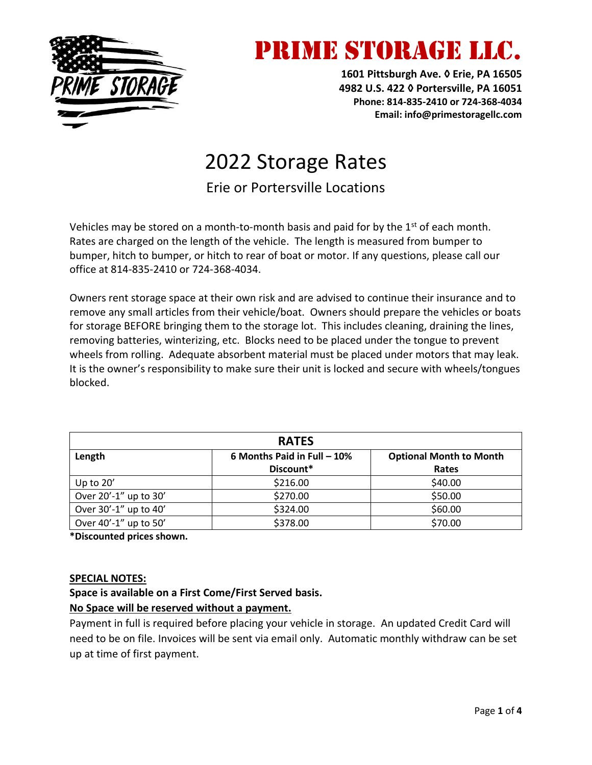

### PRIME STORAGE LLC.

**1601 Pittsburgh Ave. ◊ Erie, PA 16505 4982 U.S. 422 ◊ Portersville, PA 16051 Phone: 814-835-2410 or 724-368-4034 Email: info@primestoragellc.com**

### 2022 Storage Rates

Erie or Portersville Locations

Vehicles may be stored on a month-to-month basis and paid for by the  $1<sup>st</sup>$  of each month. Rates are charged on the length of the vehicle. The length is measured from bumper to bumper, hitch to bumper, or hitch to rear of boat or motor. If any questions, please call our office at 814-835-2410 or 724-368-4034.

Owners rent storage space at their own risk and are advised to continue their insurance and to remove any small articles from their vehicle/boat. Owners should prepare the vehicles or boats for storage BEFORE bringing them to the storage lot. This includes cleaning, draining the lines, removing batteries, winterizing, etc. Blocks need to be placed under the tongue to prevent wheels from rolling. Adequate absorbent material must be placed under motors that may leak. It is the owner's responsibility to make sure their unit is locked and secure with wheels/tongues blocked.

| <b>RATES</b>          |                             |                                |  |  |  |  |
|-----------------------|-----------------------------|--------------------------------|--|--|--|--|
| Length                | 6 Months Paid in Full - 10% | <b>Optional Month to Month</b> |  |  |  |  |
|                       | Discount*                   | Rates                          |  |  |  |  |
| Up to 20'             | \$216.00                    | \$40.00                        |  |  |  |  |
| Over 20'-1" up to 30' | \$270.00                    | \$50.00                        |  |  |  |  |
| Over 30'-1" up to 40' | \$324.00                    | \$60.00                        |  |  |  |  |
| Over 40'-1" up to 50' | \$378.00                    | \$70.00                        |  |  |  |  |

**\*Discounted prices shown.**

#### **SPECIAL NOTES:**

#### **Space is available on a First Come/First Served basis.**

#### **No Space will be reserved without a payment.**

Payment in full is required before placing your vehicle in storage. An updated Credit Card will need to be on file. Invoices will be sent via email only. Automatic monthly withdraw can be set up at time of first payment.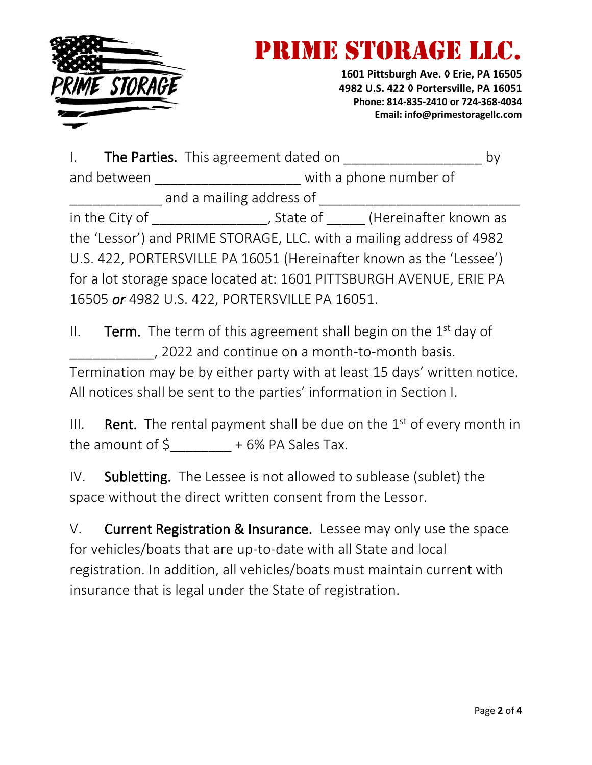

# **ME STORAGE L**

**1601 Pittsburgh Ave. ◊ Erie, PA 16505 4982 U.S. 422 ◊ Portersville, PA 16051 Phone: 814-835-2410 or 724-368-4034 Email: info@primestoragellc.com**

| I. The Parties. This agreement dated on                              |                                                   |  |  |  |  |  |  |
|----------------------------------------------------------------------|---------------------------------------------------|--|--|--|--|--|--|
| and between                                                          | with a phone number of                            |  |  |  |  |  |  |
| and a mailing address of                                             |                                                   |  |  |  |  |  |  |
|                                                                      | in the City of Theorem 2011 (Hereinafter known as |  |  |  |  |  |  |
| the 'Lessor') and PRIME STORAGE, LLC. with a mailing address of 4982 |                                                   |  |  |  |  |  |  |
| U.S. 422, PORTERSVILLE PA 16051 (Hereinafter known as the 'Lessee')  |                                                   |  |  |  |  |  |  |
| for a lot storage space located at: 1601 PITTSBURGH AVENUE, ERIE PA  |                                                   |  |  |  |  |  |  |
| 16505 or 4982 U.S. 422, PORTERSVILLE PA 16051.                       |                                                   |  |  |  |  |  |  |

II. **Term.** The term of this agreement shall begin on the  $1<sup>st</sup>$  day of \_\_\_\_\_\_\_\_\_\_\_, 2022 and continue on a month-to-month basis. Termination may be by either party with at least 15 days' written notice. All notices shall be sent to the parties' information in Section I.

III. Rent. The rental payment shall be due on the  $1<sup>st</sup>$  of every month in the amount of  $\sinh(1 + \cosh(1 - \cosh(1 - \cosh(1 - \cosh(1 - \cosh(1 - \cosh(1 - \cosh(1 - \cosh(1 - \cosh(1 - \cosh(1 - \cosh(1 - \cosh(1 - \cosh(1 - \cosh(1 - \cosh(1 - \cosh(1 - \cosh(1 - \cosh(1 - \cosh(1 - \cosh(1 - \cosh(1 - \cosh(1 - \cosh(1 - \cosh(1 - \cosh(1 - \cosh(1 - \cosh(1 - \cosh(1 - \cosh(1 - \cosh(1 - \cosh(1 - \cosh(1 - \cosh(1 - \cos$ 

IV. Subletting. The Lessee is not allowed to sublease (sublet) the space without the direct written consent from the Lessor.

V. Current Registration & Insurance. Lessee may only use the space for vehicles/boats that are up-to-date with all State and local registration. In addition, all vehicles/boats must maintain current with insurance that is legal under the State of registration.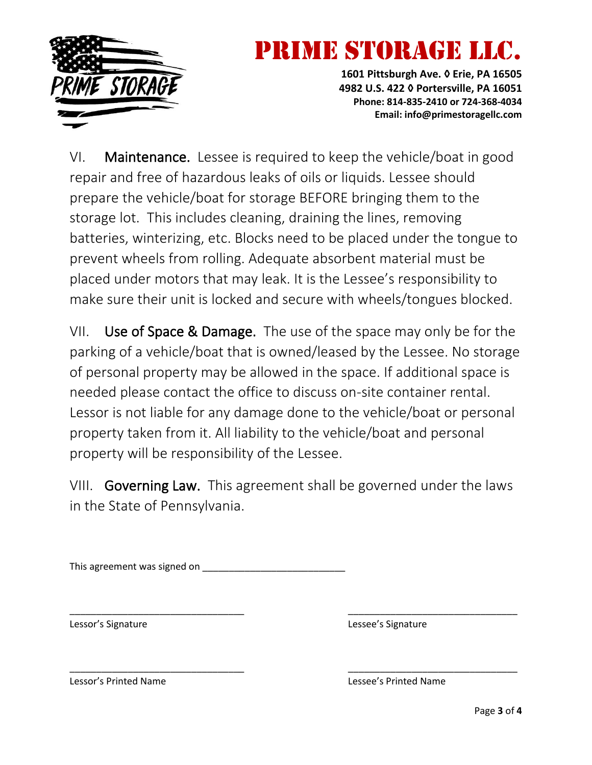

# **IME STORAGE**

**1601 Pittsburgh Ave. ◊ Erie, PA 16505 4982 U.S. 422 ◊ Portersville, PA 16051 Phone: 814-835-2410 or 724-368-4034 Email: info@primestoragellc.com**

VI. Maintenance. Lessee is required to keep the vehicle/boat in good repair and free of hazardous leaks of oils or liquids. Lessee should prepare the vehicle/boat for storage BEFORE bringing them to the storage lot. This includes cleaning, draining the lines, removing batteries, winterizing, etc. Blocks need to be placed under the tongue to prevent wheels from rolling. Adequate absorbent material must be placed under motors that may leak. It is the Lessee's responsibility to make sure their unit is locked and secure with wheels/tongues blocked.

VII. Use of Space & Damage. The use of the space may only be for the parking of a vehicle/boat that is owned/leased by the Lessee. No storage of personal property may be allowed in the space. If additional space is needed please contact the office to discuss on-site container rental. Lessor is not liable for any damage done to the vehicle/boat or personal property taken from it. All liability to the vehicle/boat and personal property will be responsibility of the Lessee.

VIII. Governing Law. This agreement shall be governed under the laws in the State of Pennsylvania.

\_\_\_\_\_\_\_\_\_\_\_\_\_\_\_\_\_\_\_\_\_\_\_\_\_\_\_\_\_\_\_\_\_ \_\_\_\_\_\_\_\_\_\_\_\_\_\_\_\_\_\_\_\_\_\_\_\_\_\_\_\_\_\_\_\_

\_\_\_\_\_\_\_\_\_\_\_\_\_\_\_\_\_\_\_\_\_\_\_\_\_\_\_\_\_\_\_\_\_ \_\_\_\_\_\_\_\_\_\_\_\_\_\_\_\_\_\_\_\_\_\_\_\_\_\_\_\_\_\_\_\_

This agreement was signed on \_\_\_\_\_\_\_\_\_\_\_\_\_\_\_\_\_\_\_\_\_\_\_\_\_\_\_

Lessor's Signature Lessee's Signature

Lessor's Printed Name Lessee's Printed Name